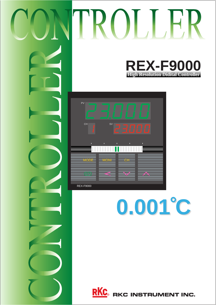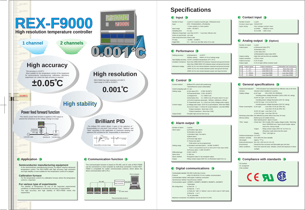

# **Specifications**

### **Performance**

Number of point : 1 point Contact input type : RUN/STOP

- 
- Input rating : Non voltage contact input
	- a) OPEN :  $500k\Omega$  or more
	- b) CLOSE :  $10\Omega$  or less

#### **Analog output (Option)** Number of output : 1 point Output types : a) Measured value (PV)

| Number of input                           | : 1 point or 2 points (2 points type : Released soon)                                |
|-------------------------------------------|--------------------------------------------------------------------------------------|
| Input                                     | : RTD : Pt100(JIS/IEC), JPt100(JIS)                                                  |
|                                           | * 3 wire system or 4 wire system                                                     |
| Input range                               | $: 0.000 - 50.000^{\circ}$ C                                                         |
| Sampling time                             | $: 0.1$ sec                                                                          |
|                                           | Influence of input lead: Less than $0.04^{\circ}$ C * Less than 10 $\Omega$ per wire |
| Action at input break: Up scale           |                                                                                      |
| Action at input short circuit: Down scale |                                                                                      |
| PV bias                                   | : -19.999 ~ 19.999°C                                                                 |
| Digital filter                            | $: 0.1 \sim 100.0$ sec (No filter when 0.0 is set)                                   |
|                                           |                                                                                      |

- b) Deviation (DV)
- 
- c) Set value (SV)
- d) Manipulated output value (MV) Output scaling : High limit and low limit are available.
- Output resolution : 13 bit or more Output accuracy : 0.1% of span
	-

Output ripple : 0.1% of span (When resistive load)

| Dustproof and waterproof       | : IP54 (Dustpoof and waterproof are effective only to the front          |
|--------------------------------|--------------------------------------------------------------------------|
| structure                      | direction when installed on a panel.)                                    |
| Supply voltage                 | : 85 to 264V AC (50/60Hz)<br>a) AC type                                  |
|                                | Including power voltage fluctuation (100 to 240V AC rating)              |
|                                | b) 24V AC type: 21.6 to 26.4V AC                                         |
|                                | Including power voltage fluctuation (24V AC rating)                      |
|                                | c) 24V DC type: 21.6 to 26.4V DC                                         |
|                                | Including power voltage fluctuation (24V DC rating)                      |
| Power consumption : a) AC type | : Less than 13 VA (at 100V AC)                                           |
|                                | Less than 19 VA (at 240V AC)                                             |
|                                | b) 24V AC type: Less than 11 VA                                          |
|                                | c) 24V DC type: Less than 340 mA                                         |
|                                | Momentary power failue: Not affected by power failure less than 20 msec. |
| Memory backup                  | : Backed up by non-volatile memory.                                      |
|                                | Date retaining period: Approx 10 years                                   |
| "FAIL" output                  | : Check item : MCU trouble, MCU supply voltage trouble, Watchdog         |
|                                | timer, EEPROM error, Input circuit trouble, Adjust-                      |
|                                | ment error, Sensor break                                                 |
|                                | Output<br>: Relay contact output 250V AC 1A Form 1a                      |
|                                | (Resistive Load) Abnormal time open                                      |
|                                | : "FAIL" LED light on.<br>Display                                        |
| Ambient temperature: 0 to 50°C |                                                                          |
| Ambient humidity               | : 45 to 85% RH (Non dewfall)                                             |
| Net weight                     | : Approx. ??? g                                                          |
|                                | External dimensions: 96 x 96 x 100 mm (H x W x D)                        |
| Environment                    | : Should be free corrosive and flammable gas and dust.                   |
| Other conditions               | : Free from external noise, vibration, shock and exposure to direct      |
|                                | sunlight.                                                                |

**Compliance with standards** 

CE marked UL recognized CSA certified

 $CE$   $\mathbb{R}$ 

| Setting accuracy  | : a)Temperature | : $\pm 0.05^{\circ}$ C                                                              |
|-------------------|-----------------|-------------------------------------------------------------------------------------|
|                   | b)Other setting | : Within $\pm 0.1\%$ of setting range                                               |
|                   |                 | Input display accuracy: ±0.05°C (Ambient temperature 23°C ±5°C)                     |
|                   |                 | Insulation resistance: More than 20ΜΩ (500V DC) between measued and ground terminal |
|                   |                 | More than $20M\Omega$ (500V DC) between power and ground terminal                   |
| Withstand voltage |                 | : 1000V AC for one minute between measued and ground terminal                       |
|                   |                 | 1500V AC for one minute between power and ground terminal                           |
|                   |                 | 2300V AC for one minute between power and input terminal                            |
|                   |                 |                                                                                     |

#### **Control**

| Control method                   | : Brilliant PID control with autothuning                                           |
|----------------------------------|------------------------------------------------------------------------------------|
|                                  | *Direct/Reverse action (Selectable)                                                |
| Control computing cycle: 0.1 sec |                                                                                    |
| Setting range                    | : a) Set value (SV)<br>$: 0.000 - 50.000^{\circ}C$                                 |
|                                  | b) Proportional band: $0.001 - 50.000^{\circ}$ C                                   |
|                                  | c) Integral time<br>$: 0.1 - 3600.0$ sec                                           |
|                                  | d) Derivative time : $0.1 - 3600.0$ sec (PI action when 0 is set.)                 |
|                                  | e) Control response parameter : 0(Slow), 1(Medium), 2(Fast)                        |
|                                  | f) Proportional cycle : $0.1 - 100.0$ sec (Only voltage pulse output)              |
| Control output                   | : a) Voltage pulse output : $0/12V$ DC (Load resistance : More than 600 $\Omega$ ) |
|                                  | b) Current output : $4{\sim}20$ mA DC (Load resistance : Less than $600\Omega$ )   |
|                                  | *Output resolution : More than 13 bit                                              |
|                                  | *Output impedance: More than 5 $M\Omega$                                           |
| Output limiter                   | : Possible high and low limit set up.                                              |

#### **Alarm output**

| Number of alarm  | : 2 points                                                                 |
|------------------|----------------------------------------------------------------------------|
| Alarm types      | : a) Deviation high alarm                                                  |
|                  | b) Deviation low alarm                                                     |
|                  | c) Deviation high / low alarm                                              |
|                  | d) Band alarm                                                              |
|                  | e) Process high alarm                                                      |
|                  | f) Pocess low alarm                                                        |
|                  | *Hold action can be programmed.                                            |
| Setting range    | : a) Deviation and band alarm : -19.999~19.999°C                           |
|                  | *Action is not quaranteed case for an action point of input range outside. |
|                  | b) Process alarm: 0.000~50.000°C                                           |
| Differential gap | $: 0.000 - 5.000^{\circ}C$                                                 |
| Alarm timer      | $: 0 - 600$ sec                                                            |
| Alarm method     | : Energized output or de-energized output                                  |
| Output           | : Relay contact output 250V AC 1A (Resistive load) Form 1a                 |

#### **C** Digital communications

| Communication standard: RS-485 Conformity (2-wire)                       |
|--------------------------------------------------------------------------|
| : ANSI X3.28(1976) 2.5 A4 or ladder communication                        |
| Communication method: Half-duplex multidrop connection                   |
| Synchronous method: Asynchronous method                                  |
| Communication speed: 1200BPS, 2400BPS, 4800BPS, 9600BPS, 19200BPS        |
| *Selectable                                                              |
| : a) Start bit: 1                                                        |
| b) Data bit : 7 or 8                                                     |
| c) Parity bit: "with" or "without", even or odd in case of "with" parity |
| d) Stop bit $: 1$ or 2                                                   |
| *b)~d) selectable                                                        |
| Maximum connection: 32 (Address can be set from 0 to 99.)                |
|                                                                          |

#### **Input Input I Contact input**

| <b>NO</b> | Output signal | Output impedance      | Allowable load resistance |
|-----------|---------------|-----------------------|---------------------------|
| 4         | $0 - 5V$      | Less than $0.1\Omega$ | More than $1k\Omega$      |
| 6         | $1 - 5V$      | Less than $0.1\Omega$ | More than $1k\Omega$      |
|           | $0 - 20mA$    | Less than $5M\Omega$  | Less than 600 $\Omega$    |
| 8         | $4 - 20mA$    | Less than $5M\Omega$  | Less than 600 $\Omega$    |

### **General specifications**